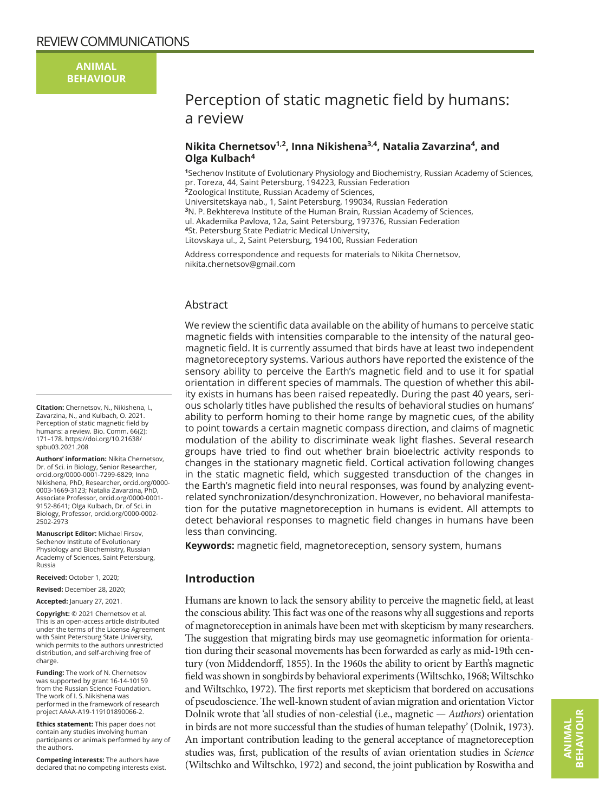**ANIMAL BEHAVIOUR**

# Perception of static magnetic field by humans: a review

# **Nikita Chernetsov1,2, Inna Nikishena3,4, Natalia Zavarzina<sup>4</sup>, and Olga Kulbach4**

**<sup>1</sup>**Sechenov Institute of Evolutionary Physiology and Biochemistry, Russian Academy of Sciences, pr. Toreza, 44, Saint Petersburg, 194223, Russian Federation **<sup>2</sup>**Zoological Institute, Russian Academy of Sciences, Universitetskaya nab., 1, Saint Petersburg, 199034, Russian Federation **<sup>3</sup>**N. P. Bekhtereva Institute of the Human Brain, Russian Academy of Sciences, ul. Akademika Pavlova, 12a, Saint Petersburg, 197376, Russian Federation **<sup>4</sup>**St. Petersburg State Pediatric Medical University,

Litovskaya ul., 2, Saint Petersburg, 194100, Russian Federation

Address correspondence and requests for materials to Nikita Chernetsov, [nikita.chernetsov@gmail.com](mailto:nikita.chernetsov@gmail.com)

# Abstract

We review the scientific data available on the ability of humans to perceive static magnetic fields with intensities comparable to the intensity of the natural geomagnetic field. It is currently assumed that birds have at least two independent magnetoreceptory systems. Various authors have reported the existence of the sensory ability to perceive the Earth's magnetic field and to use it for spatial orientation in different species of mammals. The question of whether this ability exists in humans has been raised repeatedly. During the past 40 years, serious scholarly titles have published the results of behavioral studies on humans' ability to perform homing to their home range by magnetic cues, of the ability to point towards a certain magnetic compass direction, and claims of magnetic modulation of the ability to discriminate weak light flashes. Several research groups have tried to find out whether brain bioelectric activity responds to changes in the stationary magnetic field. Cortical activation following changes in the static magnetic field, which suggested transduction of the changes in the Earth's magnetic field into neural responses, was found by analyzing eventrelated synchronization/desynchronization. However, no behavioral manifestation for the putative magnetoreception in humans is evident. All attempts to detect behavioral responses to magnetic field changes in humans have been less than convincing.

**Keywords:** magnetic field, magnetoreception, sensory system, humans

# **Introduction**

Humans are known to lack the sensory ability to perceive the magnetic field, at least the conscious ability. This fact was one of the reasons why all suggestions and reports of magnetoreception in animals have been met with skepticism by many researchers. The suggestion that migrating birds may use geomagnetic information for orientation during their seasonal movements has been forwarded as early as mid-19th century (von Middendorff, 1855). In the 1960s the ability to orient by Earth's magnetic field was shown in songbirds by behavioral experiments (Wiltschko, 1968; Wiltschko and Wiltschko, 1972). The first reports met skepticism that bordered on accusations of pseudoscience. The well-known student of avian migration and orientation Victor Dolnik wrote that 'all studies of non-celestial (i.e., magnetic — *Authors*) orientation in birds are not more successful than the studies of human telepathy' (Dolnik, 1973). An important contribution leading to the general acceptance of magnetoreception studies was, first, publication of the results of avian orientation studies in *Science* (Wiltschko and Wiltschko, 1972) and second, the joint publication by Roswitha and

**Citation:** Chernetsov, N., Nikishena, I., Zavarzina, N., and Kulbach, O. 2021. Perception of static magnetic field by humans: a review. Bio. Comm. 66(2): 171–178. [https://doi.org/10.21638/](https://doi.org/10.21638/spbu03.2021.208) [spbu03.2021.208](https://doi.org/10.21638/spbu03.2021.208)

**Authors' information:** Nikita Chernetsov, Dr. of Sci. in Biology, Senior Researcher, orcid.org/0000-0001-7299-6829; Inna Nikishena, PhD, Researcher, orcid.org/0000- 0003-1669-3123; Natalia Zavarzina, PhD, Associate Professor, orcid.org/0000-0001- 9152-8641; Olga Kulbach, Dr. of Sci. in Biology, Professor, orcid.org/0000-0002- 2502-2973

**Manuscript Editor:** Michael Firsov, Sechenov Institute of Evolutionary Physiology and Biochemistry, Russian Academy of Sciences, Saint Petersburg, Russia

**Received:** October 1, 2020;

**Revised:** December 28, 2020;

**Accepted:** January 27, 2021.

**Copyright:** © 2021 Chernetsov et al. This is an open-access article distributed under the terms of the License Agreement with Saint Petersburg State University, which permits to the authors unrestricted distribution, and self-archiving free of charge.

**Funding:** The work of N. Chernetsov was supported by grant 16-14-10159 from the Russian Science Foundation. The work of I. S. Nikishena was performed in the framework of research project AAAA-A19-119101890066-2.

**Ethics statement:** This paper does not contain any studies involving human participants or animals performed by any of the authors.

**Competing interests:** The authors have declared that no competing interests exist.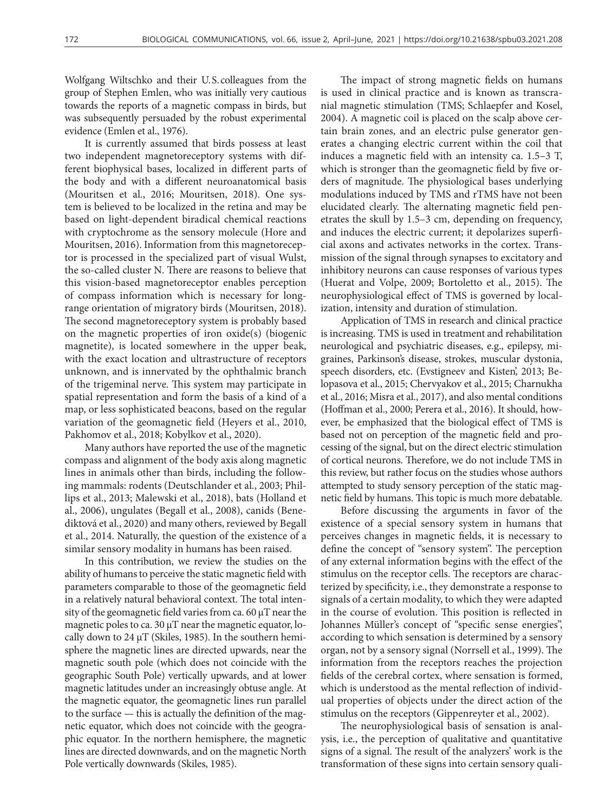Wolfgang Wiltschko and their U.S.colleagues from the group of Stephen Emlen, who was initially very cautious towards the reports of a magnetic compass in birds, but was subsequently persuaded by the robust experimental evidence (Emlen et al., 1976).

It is currently assumed that birds possess at least two independent magnetoreceptory systems with different biophysical bases, localized in different parts of the body and with a different neuroanatomical basis (Mouritsen et al., 2016; Mouritsen, 2018). One system is believed to be localized in the retina and may be based on light-dependent biradical chemical reactions with cryptochrome as the sensory molecule (Hore and Mouritsen, 2016). Information from this magnetoreceptor is processed in the specialized part of visual Wulst, the so-called cluster N. There are reasons to believe that this vision-based magnetoreceptor enables perception of compass information which is necessary for longrange orientation of migratory birds (Mouritsen, 2018). The second magnetoreceptory system is probably based on the magnetic properties of iron oxide(s) (biogenic magnetite), is located somewhere in the upper beak, with the exact location and ultrastructure of receptors unknown, and is innervated by the ophthalmic branch of the trigeminal nerve. This system may participate in spatial representation and form the basis of a kind of a map, or less sophisticated beacons, based on the regular variation of the geomagnetic field (Heyers et al., 2010, Pakhomov et al., 2018; Kobylkov et al., 2020).

Many authors have reported the use of the magnetic compass and alignment of the body axis along magnetic lines in animals other than birds, including the following mammals: rodents (Deutschlander et al., 2003; Phillips et al., 2013; Malewski et al., 2018), bats (Holland et al., 2006), ungulates (Begall et al., 2008), canids (Benediktová et al., 2020) and many others, reviewed by Begall et al., 2014. Naturally, the question of the existence of a similar sensory modality in humans has been raised.

In this contribution, we review the studies on the ability of humans to perceive the static magnetic field with parameters comparable to those of the geomagnetic field in a relatively natural behavioral context. The total intensity of the geomagnetic field varies from ca. 60 μT near the magnetic poles to ca. 30 μT near the magnetic equator, locally down to 24  $\mu$ T (Skiles, 1985). In the southern hemisphere the magnetic lines are directed upwards, near the magnetic south pole (which does not coincide with the geographic South Pole) vertically upwards, and at lower magnetic latitudes under an increasingly obtuse angle. At the magnetic equator, the geomagnetic lines run parallel to the surface — this is actually the definition of the magnetic equator, which does not coincide with the geographic equator. In the northern hemisphere, the magnetic lines are directed downwards, and on the magnetic North Pole vertically downwards (Skiles, 1985).

The impact of strong magnetic fields on humans is used in clinical practice and is known as transcranial magnetic stimulation (TMS; Schlaepfer and Kosel, 2004). A magnetic coil is placed on the scalp above certain brain zones, and an electric pulse generator generates a changing electric current within the coil that induces a magnetic field with an intensity ca. 1.5–3 T, which is stronger than the geomagnetic field by five orders of magnitude. The physiological bases underlying modulations induced by TMS and rTMS have not been elucidated clearly. The alternating magnetic field penetrates the skull by 1.5–3 cm, depending on frequency, and induces the electric current; it depolarizes superficial axons and activates networks in the cortex. Transmission of the signal through synapses to excitatory and inhibitory neurons can cause responses of various types (Huerat and Volpe, 2009; Bortoletto et al., 2015). The neurophysiological effect of TMS is governed by localization, intensity and duration of stimulation.

Application of TMS in research and clinical practice is increasing. TMS is used in treatment and rehabilitation neurological and psychiatric diseases, e.g., epilepsy, migraines, Parkinson's disease, strokes, muscular dystonia, speech disorders, etc. (Evstigneev and Kisten', 2013; Belopasova et al., 2015; Chervyakov et al., 2015; Charnukha et al., 2016; Misra et al., 2017), and also mental conditions (Hoffman et al., 2000; Perera et al., 2016). It should, however, be emphasized that the biological effect of TMS is based not on perception of the magnetic field and processing of the signal, but on the direct electric stimulation of cortical neurons. Therefore, we do not include TMS in this review, but rather focus on the studies whose authors attempted to study sensory perception of the static magnetic field by humans. This topic is much more debatable.

Before discussing the arguments in favor of the existence of a special sensory system in humans that perceives changes in magnetic fields, it is necessary to define the concept of "sensory system". The perception of any external information begins with the effect of the stimulus on the receptor cells. The receptors are characterized by specificity, i.e., they demonstrate a response to signals of a certain modality, to which they were adapted in the course of evolution. This position is reflected in Johannes Müller's concept of "specific sense energies", according to which sensation is determined by a sensory organ, not by a sensory signal (Norrsell et al., 1999). The information from the receptors reaches the projection fields of the cerebral cortex, where sensation is formed, which is understood as the mental reflection of individual properties of objects under the direct action of the stimulus on the receptors (Gippenreyter et al., 2002).

The neurophysiological basis of sensation is analysis, i.e., the perception of qualitative and quantitative signs of a signal. The result of the analyzers' work is the transformation of these signs into certain sensory quali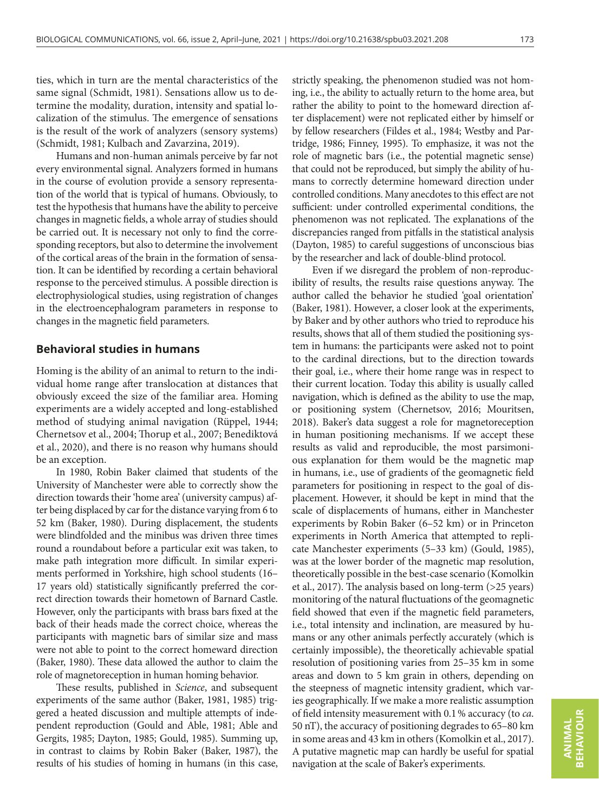ties, which in turn are the mental characteristics of the same signal (Schmidt, 1981). Sensations allow us to determine the modality, duration, intensity and spatial localization of the stimulus. The emergence of sensations is the result of the work of analyzers (sensory systems) (Schmidt, 1981; Kulbach and Zavarzina, 2019).

Humans and non-human animals perceive by far not every environmental signal. Analyzers formed in humans in the course of evolution provide a sensory representation of the world that is typical of humans. Obviously, to test the hypothesis that humans have the ability to perceive changes in magnetic fields, a whole array of studies should be carried out. It is necessary not only to find the corresponding receptors, but also to determine the involvement of the cortical areas of the brain in the formation of sensation. It can be identified by recording a certain behavioral response to the perceived stimulus. A possible direction is electrophysiological studies, using registration of changes in the electroencephalogram parameters in response to changes in the magnetic field parameters.

## **Behavioral studies in humans**

Homing is the ability of an animal to return to the individual home range after translocation at distances that obviously exceed the size of the familiar area. Homing experiments are a widely accepted and long-established method of studying animal navigation (Rüppel, 1944; Chernetsov et al., 2004; Thorup et al., 2007; Benediktová et al., 2020), and there is no reason why humans should be an exception.

In 1980, Robin Baker claimed that students of the University of Manchester were able to correctly show the direction towards their 'home area' (university campus) after being displaced by car for the distance varying from 6 to 52 km (Baker, 1980). During displacement, the students were blindfolded and the minibus was driven three times round a roundabout before a particular exit was taken, to make path integration more difficult. In similar experiments performed in Yorkshire, high school students (16– 17 years old) statistically significantly preferred the correct direction towards their hometown of Barnard Castle. However, only the participants with brass bars fixed at the back of their heads made the correct choice, whereas the participants with magnetic bars of similar size and mass were not able to point to the correct homeward direction (Baker, 1980). These data allowed the author to claim the role of magnetoreception in human homing behavior.

These results, published in *Science*, and subsequent experiments of the same author (Baker, 1981, 1985) triggered a heated discussion and multiple attempts of independent reproduction (Gould and Able, 1981; Able and Gergits, 1985; Dayton, 1985; Gould, 1985). Summing up, in contrast to claims by Robin Baker (Baker, 1987), the results of his studies of homing in humans (in this case,

strictly speaking, the phenomenon studied was not homing, i.e., the ability to actually return to the home area, but rather the ability to point to the homeward direction after displacement) were not replicated either by himself or by fellow researchers (Fildes et al., 1984; Westby and Partridge, 1986; Finney, 1995). To emphasize, it was not the role of magnetic bars (i.e., the potential magnetic sense) that could not be reproduced, but simply the ability of humans to correctly determine homeward direction under controlled conditions. Many anecdotes to this effect are not sufficient: under controlled experimental conditions, the phenomenon was not replicated. The explanations of the discrepancies ranged from pitfalls in the statistical analysis (Dayton, 1985) to careful suggestions of unconscious bias by the researcher and lack of double-blind protocol.

Even if we disregard the problem of non-reproducibility of results, the results raise questions anyway. The author called the behavior he studied 'goal orientation' (Baker, 1981). However, a closer look at the experiments, by Baker and by other authors who tried to reproduce his results, shows that all of them studied the positioning system in humans: the participants were asked not to point to the cardinal directions, but to the direction towards their goal, i.e., where their home range was in respect to their current location. Today this ability is usually called navigation, which is defined as the ability to use the map, or positioning system (Chernetsov, 2016; Mouritsen, 2018). Baker's data suggest a role for magnetoreception in human positioning mechanisms. If we accept these results as valid and reproducible, the most parsimonious explanation for them would be the magnetic map in humans, i.e., use of gradients of the geomagnetic field parameters for positioning in respect to the goal of displacement. However, it should be kept in mind that the scale of displacements of humans, either in Manchester experiments by Robin Baker (6–52 km) or in Princeton experiments in North America that attempted to replicate Manchester experiments (5–33 km) (Gould, 1985), was at the lower border of the magnetic map resolution, theoretically possible in the best-case scenario (Komolkin et al., 2017). The analysis based on long-term (>25 years) monitoring of the natural fluctuations of the geomagnetic field showed that even if the magnetic field parameters, i.e., total intensity and inclination, are measured by humans or any other animals perfectly accurately (which is certainly impossible), the theoretically achievable spatial resolution of positioning varies from 25–35 km in some areas and down to 5 km grain in others, depending on the steepness of magnetic intensity gradient, which varies geographically. If we make a more realistic assumption of field intensity measurement with 0.1% accuracy (to *ca*. 50 nT), the accuracy of positioning degrades to 65–80 km in some areas and 43 km in others (Komolkin et al., 2017). A putative magnetic map can hardly be useful for spatial navigation at the scale of Baker's experiments.

ANIMAL<br>BEHAVIOUR **BEHAVIOUR ANIMAL**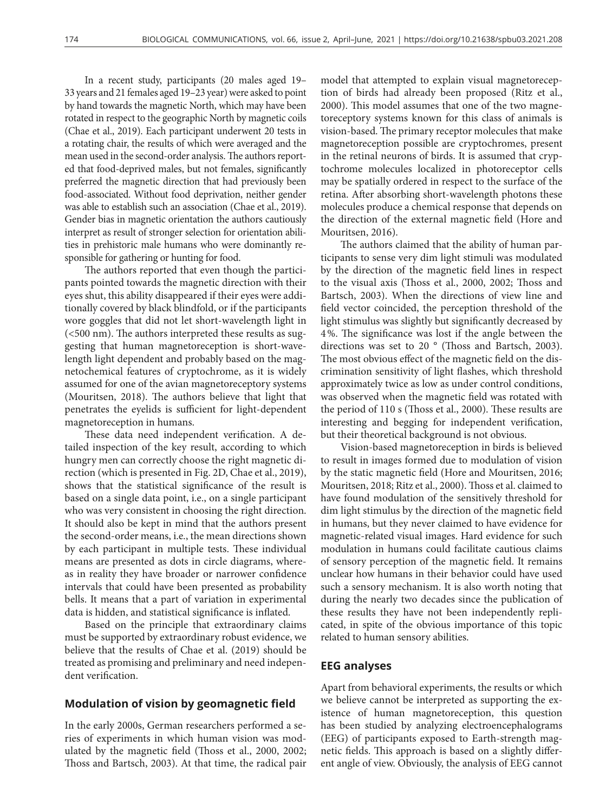In a recent study, participants (20 males aged 19– 33 years and 21 females aged 19–23 year) were asked to point by hand towards the magnetic North, which may have been rotated in respect to the geographic North by magnetic coils (Chae et al., 2019). Each participant underwent 20 tests in a rotating chair, the results of which were averaged and the mean used in the second-order analysis. The authors reported that food-deprived males, but not females, significantly preferred the magnetic direction that had previously been food-associated. Without food deprivation, neither gender was able to establish such an association (Chae et al., 2019). Gender bias in magnetic orientation the authors cautiously interpret as result of stronger selection for orientation abilities in prehistoric male humans who were dominantly responsible for gathering or hunting for food.

The authors reported that even though the participants pointed towards the magnetic direction with their eyes shut, this ability disappeared if their eyes were additionally covered by black blindfold, or if the participants wore goggles that did not let short-wavelength light in (<500 nm). The authors interpreted these results as suggesting that human magnetoreception is short-wavelength light dependent and probably based on the magnetochemical features of cryptochrome, as it is widely assumed for one of the avian magnetoreceptory systems (Mouritsen, 2018). The authors believe that light that penetrates the eyelids is sufficient for light-dependent magnetoreception in humans.

These data need independent verification. A detailed inspection of the key result, according to which hungry men can correctly choose the right magnetic direction (which is presented in Fig. 2D, Chae et al., 2019), shows that the statistical significance of the result is based on a single data point, i.e., on a single participant who was very consistent in choosing the right direction. It should also be kept in mind that the authors present the second-order means, i.e., the mean directions shown by each participant in multiple tests. These individual means are presented as dots in circle diagrams, whereas in reality they have broader or narrower confidence intervals that could have been presented as probability bells. It means that a part of variation in experimental data is hidden, and statistical significance is inflated.

Based on the principle that extraordinary claims must be supported by extraordinary robust evidence, we believe that the results of Chae et al. (2019) should be treated as promising and preliminary and need independent verification.

## **Modulation of vision by geomagnetic field**

In the early 2000s, German researchers performed a series of experiments in which human vision was modulated by the magnetic field (Thoss et al., 2000, 2002; Thoss and Bartsch, 2003). At that time, the radical pair

model that attempted to explain visual magnetoreception of birds had already been proposed (Ritz et al., 2000). This model assumes that one of the two magnetoreceptory systems known for this class of animals is vision-based. The primary receptor molecules that make magnetoreception possible are cryptochromes, present in the retinal neurons of birds. It is assumed that cryptochrome molecules localized in photoreceptor cells may be spatially ordered in respect to the surface of the retina. After absorbing short-wavelength photons these molecules produce a chemical response that depends on the direction of the external magnetic field (Hore and Mouritsen, 2016).

The authors claimed that the ability of human participants to sense very dim light stimuli was modulated by the direction of the magnetic field lines in respect to the visual axis (Thoss et al., 2000, 2002; Thoss and Bartsch, 2003). When the directions of view line and field vector coincided, the perception threshold of the light stimulus was slightly but significantly decreased by 4%. The significance was lost if the angle between the directions was set to 20 ° (Thoss and Bartsch, 2003). The most obvious effect of the magnetic field on the discrimination sensitivity of light flashes, which threshold approximately twice as low as under control conditions, was observed when the magnetic field was rotated with the period of 110 s (Thoss et al., 2000). These results are interesting and begging for independent verification, but their theoretical background is not obvious.

Vision-based magnetoreception in birds is believed to result in images formed due to modulation of vision by the static magnetic field (Hore and Mouritsen, 2016; Mouritsen, 2018; Ritz et al., 2000). Thoss et al. claimed to have found modulation of the sensitively threshold for dim light stimulus by the direction of the magnetic field in humans, but they never claimed to have evidence for magnetic-related visual images. Hard evidence for such modulation in humans could facilitate cautious claims of sensory perception of the magnetic field. It remains unclear how humans in their behavior could have used such a sensory mechanism. It is also worth noting that during the nearly two decades since the publication of these results they have not been independently replicated, in spite of the obvious importance of this topic related to human sensory abilities.

### **EEG analyses**

Apart from behavioral experiments, the results or which we believe cannot be interpreted as supporting the existence of human magnetoreception, this question has been studied by analyzing electroencephalograms (EEG) of participants exposed to Earth-strength magnetic fields. This approach is based on a slightly different angle of view. Obviously, the analysis of EEG cannot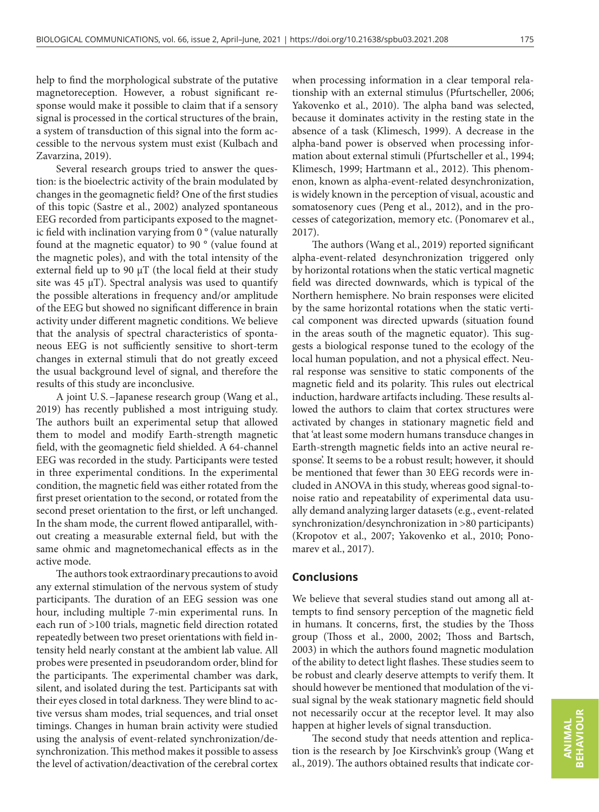help to find the morphological substrate of the putative magnetoreception. However, a robust significant response would make it possible to claim that if a sensory signal is processed in the cortical structures of the brain, a system of transduction of this signal into the form accessible to the nervous system must exist (Kulbach and Zavarzina, 2019).

Several research groups tried to answer the question: is the bioelectric activity of the brain modulated by changes in the geomagnetic field? One of the first studies of this topic (Sastre et al., 2002) analyzed spontaneous EEG recorded from participants exposed to the magnetic field with inclination varying from 0 ° (value naturally found at the magnetic equator) to 90 ° (value found at the magnetic poles), and with the total intensity of the external field up to 90 μT (the local field at their study site was  $45 \mu$ T). Spectral analysis was used to quantify the possible alterations in frequency and/or amplitude of the EEG but showed no significant difference in brain activity under different magnetic conditions. We believe that the analysis of spectral characteristics of spontaneous EEG is not sufficiently sensitive to short-term changes in external stimuli that do not greatly exceed the usual background level of signal, and therefore the results of this study are inconclusive.

A joint U. S.–Japanese research group (Wang et al., 2019) has recently published a most intriguing study. The authors built an experimental setup that allowed them to model and modify Earth-strength magnetic field, with the geomagnetic field shielded. A 64-channel EEG was recorded in the study. Participants were tested in three experimental conditions. In the experimental condition, the magnetic field was either rotated from the first preset orientation to the second, or rotated from the second preset orientation to the first, or left unchanged. In the sham mode, the current flowed antiparallel, without creating a measurable external field, but with the same ohmic and magnetomechanical effects as in the active mode.

The authors took extraordinary precautions to avoid any external stimulation of the nervous system of study participants. The duration of an EEG session was one hour, including multiple 7-min experimental runs. In each run of >100 trials, magnetic field direction rotated repeatedly between two preset orientations with field intensity held nearly constant at the ambient lab value. All probes were presented in pseudorandom order, blind for the participants. The experimental chamber was dark, silent, and isolated during the test. Participants sat with their eyes closed in total darkness. They were blind to active versus sham modes, trial sequences, and trial onset timings. Changes in human brain activity were studied using the analysis of event-related synchronization/desynchronization. This method makes it possible to assess the level of activation/deactivation of the cerebral cortex

when processing information in a clear temporal relationship with an external stimulus (Pfurtscheller, 2006; Yakovenko et al., 2010). The alpha band was selected, because it dominates activity in the resting state in the absence of a task (Klimesch, 1999). A decrease in the alpha-band power is observed when processing information about external stimuli (Pfurtscheller et al., 1994; Klimesch, 1999; Hartmann et al., 2012). This phenomenon, known as alpha-event-related desynchronization, is widely known in the perception of visual, acoustic and somatosenory cues (Peng et al., 2012), and in the processes of categorization, memory etc. (Ponomarev et al., 2017).

The authors (Wang et al., 2019) reported significant alpha-event-related desynchronization triggered only by horizontal rotations when the static vertical magnetic field was directed downwards, which is typical of the Northern hemisphere. No brain responses were elicited by the same horizontal rotations when the static vertical component was directed upwards (situation found in the areas south of the magnetic equator). This suggests a biological response tuned to the ecology of the local human population, and not a physical effect. Neural response was sensitive to static components of the magnetic field and its polarity. This rules out electrical induction, hardware artifacts including. These results allowed the authors to claim that cortex structures were activated by changes in stationary magnetic field and that 'at least some modern humans transduce changes in Earth-strength magnetic fields into an active neural response'. It seems to be a robust result; however, it should be mentioned that fewer than 30 EEG records were included in ANOVA in this study, whereas good signal-tonoise ratio and repeatability of experimental data usually demand analyzing larger datasets (e.g., event-related synchronization/desynchronization in >80 participants) (Kropotov et al., 2007; Yakovenko et al., 2010; Ponomarev et al., 2017).

# **Conclusions**

We believe that several studies stand out among all attempts to find sensory perception of the magnetic field in humans. It concerns, first, the studies by the Thoss group (Thoss et al., 2000, 2002; Thoss and Bartsch, 2003) in which the authors found magnetic modulation of the ability to detect light flashes. These studies seem to be robust and clearly deserve attempts to verify them. It should however be mentioned that modulation of the visual signal by the weak stationary magnetic field should not necessarily occur at the receptor level. It may also happen at higher levels of signal transduction.

The second study that needs attention and replication is the research by Joe Kirschvink's group (Wang et al., 2019). The authors obtained results that indicate cor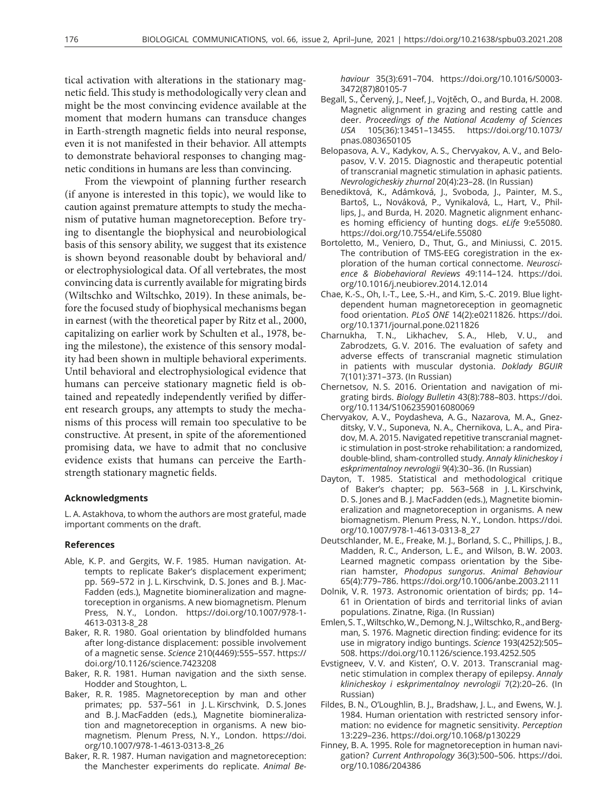tical activation with alterations in the stationary magnetic field. This study is methodologically very clean and might be the most convincing evidence available at the moment that modern humans can transduce changes in Earth-strength magnetic fields into neural response, even it is not manifested in their behavior. All attempts to demonstrate behavioral responses to changing magnetic conditions in humans are less than convincing.

From the viewpoint of planning further research (if anyone is interested in this topic), we would like to caution against premature attempts to study the mechanism of putative human magnetoreception. Before trying to disentangle the biophysical and neurobiological basis of this sensory ability, we suggest that its existence is shown beyond reasonable doubt by behavioral and/ or electrophysiological data. Of all vertebrates, the most convincing data is currently available for migrating birds (Wiltschko and Wiltschko, 2019). In these animals, before the focused study of biophysical mechanisms began in earnest (with the theoretical paper by Ritz et al., 2000, capitalizing on earlier work by Schulten et al., 1978, being the milestone), the existence of this sensory modality had been shown in multiple behavioral experiments. Until behavioral and electrophysiological evidence that humans can perceive stationary magnetic field is obtained and repeatedly independently verified by different research groups, any attempts to study the mechanisms of this process will remain too speculative to be constructive. At present, in spite of the aforementioned promising data, we have to admit that no conclusive evidence exists that humans can perceive the Earthstrength stationary magnetic fields.

#### **Acknowledgments**

L. A. Astakhova, to whom the authors are most grateful, made important comments on the draft.

#### **References**

- Able, K. P. and Gergits, W. F. 1985. Human navigation. Attempts to replicate Baker's displacement experiment; pp. 569–572 in J. L. Kirschvink, D. S. Jones and B. J. Mac-Fadden (eds.), Magnetite biomineralization and magnetoreception in organisms. A new biomagnetism. Plenum Press, N. Y., London. [https://doi.org/10.1007/978-1-](https://doi.org/10.1007/978-1-4613-0313-8_28) [4613-0313-8\\_28](https://doi.org/10.1007/978-1-4613-0313-8_28)
- Baker, R. R. 1980. Goal orientation by blindfolded humans after long-distance displacement: possible involvement of a magnetic sense. *Science* 210(4469):555–557. [https://](https://doi.org/10.1126/science.7423208) [doi.org/10.1126/science.7423208](https://doi.org/10.1126/science.7423208)
- Baker, R. R. 1981. Human navigation and the sixth sense. Hodder and Stoughton, L.
- Baker, R. R. 1985. Magnetoreception by man and other primates; pp. 537–561 in J. L. Kirschvink, D. S. Jones and B. J. MacFadden (eds.), Magnetite biomineralization and magnetoreception in organisms. A new biomagnetism. Plenum Press, N. Y., London. [https://doi.](https://doi.org/10.1007/978-1-4613-0313-8_26) [org/10.1007/978-1-4613-0313-8\\_26](https://doi.org/10.1007/978-1-4613-0313-8_26)
- Baker, R. R. 1987. Human navigation and magnetoreception: the Manchester experiments do replicate. *Animal Be-*

*haviour* 35(3):691–704. [https://doi.org/10.1016/S0003-](https://doi.org/10.1016/S0003-3472(87)80105-7) [3472\(87\)80105-7](https://doi.org/10.1016/S0003-3472(87)80105-7)

- Begall, S., Červený, J., Neef, J., Vojtěch, O., and Burda, H. 2008. Magnetic alignment in grazing and resting cattle and deer. *Proceedings of the National Academy of Sciences USA* 105(36):13451–13455. [https://doi.org/10.1073/](https://doi.org/10.1073/pnas.0803650105) [pnas.0803650105](https://doi.org/10.1073/pnas.0803650105)
- Belopasova, A. V., Kadykov, A. S., Chervyakov, A. V., and Belopasov, V. V. 2015. Diagnostic and therapeutic potential of transcranial magnetic stimulation in aphasic patients. *Nevrologicheskiy zhurnal* 20(4):23–28. (In Russian)
- Benediktová, K., Adámková, J., Svoboda, J., Painter, M. S., Bartoš, L., Nováková, P., Vynikalová, L., Hart, V., Phillips, J., and Burda, H. 2020. Magnetic alignment enhances homing efficiency of hunting dogs. *eLife* 9:e55080. <https://doi.org/10.7554/eLife.55080>
- Bortoletto, M., Veniero, D., Thut, G., and Miniussi, C. 2015. The contribution of TMS-EEG coregistration in the exploration of the human cortical connectome. *Neuroscience & Biobehavioral Reviews* 49:114–124. [https://doi.](https://doi.org/10.1016/j.neubiorev.2014.12.014) [org/10.1016/j.neubiorev.2014.12.014](https://doi.org/10.1016/j.neubiorev.2014.12.014)
- Chae, K.-S., Oh, I.-T., Lee, S.-H., and Kim, S.-C. 2019. Blue lightdependent human magnetoreception in geomagnetic food orientation. *PLoS ONE* 14(2):e0211826. [https://doi.](https://doi.org/10.1371/journal.pone.0211826) [org/10.1371/journal.pone.0211826](https://doi.org/10.1371/journal.pone.0211826)
- Charnukha, T. N., Likhachev, S. A., Hleb, V. U., and Zabrodzets, G. V. 2016. The evaluation of safety and adverse effects of transcranial magnetic stimulation in patients with muscular dystonia. *Doklady BGUIR* 7(101):371–373. (In Russian)
- Chernetsov, N. S. 2016. Orientation and navigation of migrating birds. *Biology Bulletin* 43(8):788–803. [https://doi.](https://doi.org/10.1134/S1062359016080069) [org/10.1134/S1062359016080069](https://doi.org/10.1134/S1062359016080069)
- Chervyakov, A. V., Poydasheva, A. G., Nazarova, M. A., Gnezditsky, V. V., Suponeva, N. A., Chernikova, L. A., and Piradov, M. A. 2015. Navigated repetitive transcranial magnetic stimulation in post-stroke rehabilitation: a randomized, double-blind, sham-controlled study. *Annaly klinicheskoy i eskprimentalnoy nevrologii* 9(4):30–36. (In Russian)
- Dayton, T. 1985. Statistical and methodological critique of Baker's chapter; pp. 563–568 in J. L. Kirschvink, D. S. Jones and B. J. MacFadden (eds.), Magnetite biomineralization and magnetoreception in organisms. A new biomagnetism. Plenum Press, N. Y., London. [https://doi.](https://doi.org/10.1007/978-1-4613-0313-8_27) [org/10.1007/978-1-4613-0313-8\\_27](https://doi.org/10.1007/978-1-4613-0313-8_27)
- Deutschlander, M. E., Freake, M. J., Borland, S. C., Phillips, J. B., Madden, R. C., Anderson, L. E., and Wilson, B. W. 2003. Learned magnetic compass orientation by the Siberian hamster, *Phodopus sungorus*. *Animal Behaviour* 65(4):779–786. <https://doi.org/10.1006/anbe.2003.2111>
- Dolnik, V. R. 1973. Astronomic orientation of birds; pp. 14– 61 in Orientation of birds and territorial links of avian populations. Zinatne, Riga. (In Russian)
- Emlen, S. T., Wiltschko, W., Demong, N. J., Wiltschko, R., and Bergman, S. 1976. Magnetic direction finding: evidence for its use in migratory indigo buntings. *Science* 193(4252):505– 508. <https://doi.org/10.1126/science.193.4252.505>
- Evstigneev, V. V. and Kisten', O. V. 2013. Transcranial magnetic stimulation in complex therapy of epilepsy. *Annaly klinicheskoy i eskprimentalnoy nevrologii* 7(2):20–26. (In Russian)
- Fildes, B. N., O'Loughlin, B. J., Bradshaw, J. L., and Ewens, W. J. 1984. Human orientation with restricted sensory information: no evidence for magnetic sensitivity. *Perception* 13:229–236. <https://doi.org/10.1068/p130229>
- Finney, B. A. 1995. Role for magnetoreception in human navigation? *Current Anthropology* 36(3):500–506. [https://doi.](https://doi.org/10.1086/204386) [org/10.1086/204386](https://doi.org/10.1086/204386)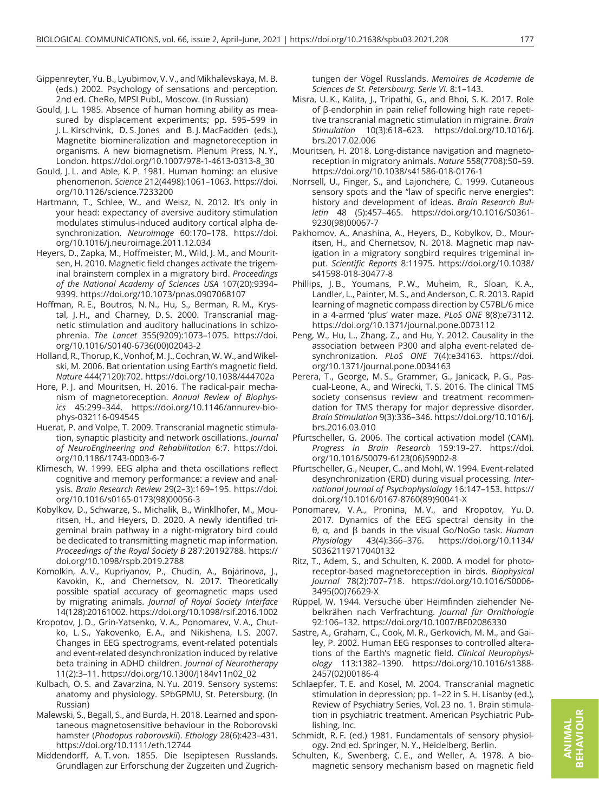- Gippenreyter, Yu. B., Lyubimov, V. V., and Mikhalevskaya, M. B. (eds.) 2002. Psychology of sensations and perception. 2nd ed. CheRo, MPSI Publ., Moscow. (In Russian)
- Gould, J. L. 1985. Absence of human homing ability as measured by displacement experiments; pp. 595–599 in J. L. Kirschvink, D. S. Jones and B. J. MacFadden (eds.), Magnetite biomineralization and magnetoreception in organisms. A new biomagnetism. Plenum Press, N. Y., London. [https://doi.org/10.1007/978-1-4613-0313-8\\_30](https://doi.org/10.1007/978-1-4613-0313-8_30)
- Gould, J. L. and Able, K. P. 1981. Human homing: an elusive phenomenon. *Science* 212(4498):1061–1063. [https://doi.](https://doi.org/10.1126/science.7233200) [org/10.1126/science.7233200](https://doi.org/10.1126/science.7233200)
- Hartmann, T., Schlee, W., and Weisz, N. 2012. It's only in your head: expectancy of aversive auditory stimulation modulates stimulus-induced auditory cortical alpha desynchronization. *Neuroimage* 60:170–178. [https://doi.](https://doi.org/10.1016/j.neuroimage.2011.12.034) [org/10.1016/j.neuroimage.2011.12.034](https://doi.org/10.1016/j.neuroimage.2011.12.034)
- Heyers, D., Zapka, M., Hoffmeister, M., Wild, J. M., and Mouritsen, H. 2010. Magnetic field changes activate the trigeminal brainstem complex in a migratory bird. *Proceedings of the National Academy of Sciences USA* 107(20):9394– 9399. <https://doi.org/10.1073/pnas.0907068107>
- Hoffman, R. E., Boutros, N. N., Hu, S., Berman, R. M., Krystal, J. H., and Charney, D. S. 2000. Transcranial magnetic stimulation and auditory hallucinations in schizophrenia. *The Lancet* 355(9209):1073–1075. [https://doi.](https://doi.org/10.1016/S0140-6736(00)02043-2) [org/10.1016/S0140-6736\(00\)02043-2](https://doi.org/10.1016/S0140-6736(00)02043-2)
- Holland, R., Thorup, K., Vonhof, M. J., Cochran, W. W., and Wikelski, M. 2006. Bat orientation using Earth's magnetic field. *Nature* 444(7120):702.<https://doi.org/10.1038/444702a>
- Hore, P. J. and Mouritsen, H. 2016. The radical-pair mechanism of magnetoreception. *Annual Review of Biophysics* 45:299–344. [https://doi.org/10.1146/annurev-bio](https://doi.org/10.1146/annurev-biophys-032116-094545)[phys-032116-094545](https://doi.org/10.1146/annurev-biophys-032116-094545)
- Huerat, P. and Volpe, T. 2009. Transcranial magnetic stimulation, synaptic plasticity and network oscillations. *Journal of NeuroEngineering and Rehabilitation* 6:7. [https://doi.](https://doi.org/10.1186/1743-0003-6-7) [org/10.1186/1743-0003-6-7](https://doi.org/10.1186/1743-0003-6-7)
- Klimesch, W. 1999. EEG alpha and theta oscillations reflect cognitive and memory performance: a review and analysis. *Brain Research Review* 29(2–3):169–195. [https://doi.](https://doi.org/10.1016/s0165-0173(98)00056-3) [org/10.1016/s0165-0173\(98\)00056-3](https://doi.org/10.1016/s0165-0173(98)00056-3)
- Kobylkov, D., Schwarze, S., Michalik, B., Winklhofer, M., Mouritsen, H., and Heyers, D. 2020. A newly identified trigeminal brain pathway in a night-migratory bird could be dedicated to transmitting magnetic map information. *Proceedings of the Royal Society B* 287:20192788. [https://](https://doi.org/10.1098/rspb.2019.2788) [doi.org/10.1098/rspb.2019.2788](https://doi.org/10.1098/rspb.2019.2788)
- Komolkin, A. V., Kupriyanov, P., Chudin, A., Bojarinova, J., Kavokin, K., and Chernetsov, N. 2017. Theoretically possible spatial accuracy of geomagnetic maps used by migrating animals. *Journal of Royal Society Interface* 14(128):20161002. <https://doi.org/10.1098/rsif.2016.1002>
- Kropotov, J. D., Grin-Yatsenko, V. A., Ponomarev, V. A., Chutko, L. S., Yakovenko, E. A., and Nikishena, I. S. 2007. Changes in EEG spectrograms, event-related potentials and event-related desynchronization induced by relative beta training in ADHD children. *Journal of Neurotherapy* 11(2):3–11. [https://doi.org/10.1300/J184v11n02\\_02](https://doi.org/10.1300/J184v11n02_02)
- Kulbach, O. S. and Zavarzina, N. Yu. 2019. Sensory systems: anatomy and physiology. SPbGPMU, St. Petersburg. (In Russian)
- Malewski, S., Begall, S., and Burda, H. 2018. Learned and spontaneous magnetosensitive behaviour in the Roborovski hamster (*Phodopus roborovskii*). *Ethology* 28(6):423–431. <https://doi.org/10.1111/eth.12744>
- Middendorff, A. T. von. 1855. Die Isepiptesen Russlands. Grundlagen zur Erforschung der Zugzeiten und Zugrich-

tungen der Vögel Russlands. *Memoires de Academie de Sciences de St. Petersbourg. Serie VI.* 8:1–143.

- Misra, U. K., Kalita, J., Tripathi, G., and Bhoi, S. K. 2017. Role of β-endorphin in pain relief following high rate repetitive transcranial magnetic stimulation in migraine. *Brain Stimulation* 10(3):618–623. [https://doi.org/10.1016/j.](https://doi.org/10.1016/j.brs.2017.02.006) [brs.2017.02.006](https://doi.org/10.1016/j.brs.2017.02.006)
- Mouritsen, H. 2018. Long-distance navigation and magnetoreception in migratory animals. *Nature* 558(7708):50–59. <https://doi.org/10.1038/s41586-018-0176-1>
- Norrsell, U., Finger, S., and Lajonchere, C. 1999. Cutaneous sensory spots and the "law of specific nerve energies": history and development of ideas. *Brain Research Bulletin* 48 (5):457–465. [https://doi.org/10.1016/S0361-](https://doi.org/10.1016/S0361-9230(98)00067-7) [9230\(98\)00067-7](https://doi.org/10.1016/S0361-9230(98)00067-7)
- Pakhomov, A., Anashina, A., Heyers, D., Kobylkov, D., Mouritsen, H., and Chernetsov, N. 2018. Magnetic map navigation in a migratory songbird requires trigeminal input. *Scientific Reports* 8:11975. [https://doi.org/10.1038/](https://doi.org/10.1038/s41598-018-30477-8) [s41598-018-30477-8](https://doi.org/10.1038/s41598-018-30477-8)
- Phillips, J. B., Youmans, P. W., Muheim, R., Sloan, K. A., Landler, L., Painter, M. S., and Anderson, C. R. 2013. Rapid learning of magnetic compass direction by C57BL/6 mice in a 4-armed 'plus' water maze. *PLoS ONE* 8(8):e73112. <https://doi.org/10.1371/journal.pone.0073112>
- Peng, W., Hu, L., Zhang, Z., and Hu, Y. 2012. Causality in the association between P300 and alpha event-related desynchronization. *PLoS ONE* 7(4):e34163. [https://doi.](https://doi.org/10.1371/journal.pone.0034163) [org/10.1371/journal.pone.0034163](https://doi.org/10.1371/journal.pone.0034163)
- Perera, T., George, M. S., Grammer, G., Janicack, P. G., Pascual-Leone, A., and Wirecki, T. S. 2016. The clinical TMS society consensus review and treatment recommendation for TMS therapy for major depressive disorder. *Brain Stimulation* 9(3):336–346. [https://doi.org/10.1016/j.](https://doi.org/10.1016/j.brs.2016.03.010) [brs.2016.03.010](https://doi.org/10.1016/j.brs.2016.03.010)
- Pfurtscheller, G. 2006. The cortical activation model (CAM). *Progress in Brain Research* 159:19–27. [https://doi.](https://doi.org/10.1016/S0079-6123(06)59002-8) [org/10.1016/S0079-6123\(06\)59002-8](https://doi.org/10.1016/S0079-6123(06)59002-8)
- Pfurtscheller, G., Neuper, C., and Mohl, W. 1994. Event-related desynchronization (ERD) during visual processing. *International Journal of Psychophysiology* 16:147–153. [https://](https://doi.org/10.1016/0167-8760(89)90041-X) [doi.org/10.1016/0167-8760\(89\)90041-X](https://doi.org/10.1016/0167-8760(89)90041-X)
- Ponomarev, V. A., Pronina, M. V., and Kropotov, Yu. D. 2017. Dynamics of the EEG spectral density in the θ, α, and β bands in the visual Go/NoGo task. *Human Physiology* 43(4):366–376. [https://doi.org/10.1134/](https://doi.org/10.1134/S0362119717040132) [S0362119717040132](https://doi.org/10.1134/S0362119717040132)
- Ritz, T., Adem, S., and Schulten, K. 2000. A model for photoreceptor-based magnetoreception in birds. *Biophysical Journal* 78(2):707–718. [https://doi.org/10.1016/S0006-](https://doi.org/10.1016/S0006-3495(00)76629-X) [3495\(00\)76629-X](https://doi.org/10.1016/S0006-3495(00)76629-X)
- Rüppel, W. 1944. Versuche über Heimfinden ziehender Nebelkrähen nach Verfrachtung. *Journal für Ornithologie* 92:106–132.<https://doi.org/10.1007/BF02086330>
- Sastre, A., Graham, C., Cook, M. R., Gerkovich, M. M., and Gailey, P. 2002. Human EEG responses to controlled alterations of the Earth's magnetic field. *Clinical Neurophysiology* 113:1382–1390. [https://doi.org/10.1016/s1388-](https://doi.org/10.1016/s1388-2457(02)00186-4) [2457\(02\)00186-4](https://doi.org/10.1016/s1388-2457(02)00186-4)
- Schlaepfer, T. E. and Kosel, M. 2004. Transcranial magnetic stimulation in depression; pp. 1–22 in S. H. Lisanby (ed.), Review of Psychiatry Series, Vol. 23 no. 1. Brain stimulation in psychiatric treatment. American Psychiatric Publishing, Inc.
- Schmidt, R. F. (ed.) 1981. Fundamentals of sensory physiology. 2nd ed. Springer, N. Y., Heidelberg, Berlin.
- Schulten, K., Swenberg, C. E., and Weller, A. 1978. A biomagnetic sensory mechanism based on magnetic field